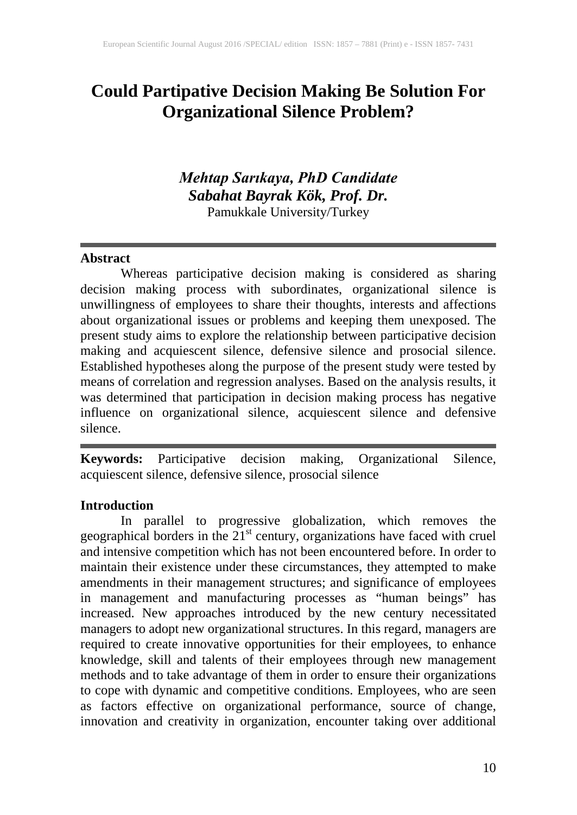# **Could Partipative Decision Making Be Solution For Organizational Silence Problem?**

## *Mehtap Sarıkaya, PhD Candidate Sabahat Bayrak Kök, Prof. Dr.* Pamukkale University/Turkey

#### **Abstract**

Whereas participative decision making is considered as sharing decision making process with subordinates, organizational silence is unwillingness of employees to share their thoughts, interests and affections about organizational issues or problems and keeping them unexposed. The present study aims to explore the relationship between participative decision making and acquiescent silence, defensive silence and prosocial silence. Established hypotheses along the purpose of the present study were tested by means of correlation and regression analyses. Based on the analysis results, it was determined that participation in decision making process has negative influence on organizational silence, acquiescent silence and defensive silence.

**Keywords:** Participative decision making, Organizational Silence, acquiescent silence, defensive silence, prosocial silence

#### **Introduction**

In parallel to progressive globalization, which removes the geographical borders in the  $21<sup>st</sup>$  century, organizations have faced with cruel and intensive competition which has not been encountered before. In order to maintain their existence under these circumstances, they attempted to make amendments in their management structures; and significance of employees in management and manufacturing processes as "human beings" has increased. New approaches introduced by the new century necessitated managers to adopt new organizational structures. In this regard, managers are required to create innovative opportunities for their employees, to enhance knowledge, skill and talents of their employees through new management methods and to take advantage of them in order to ensure their organizations to cope with dynamic and competitive conditions. Employees, who are seen as factors effective on organizational performance, source of change, innovation and creativity in organization, encounter taking over additional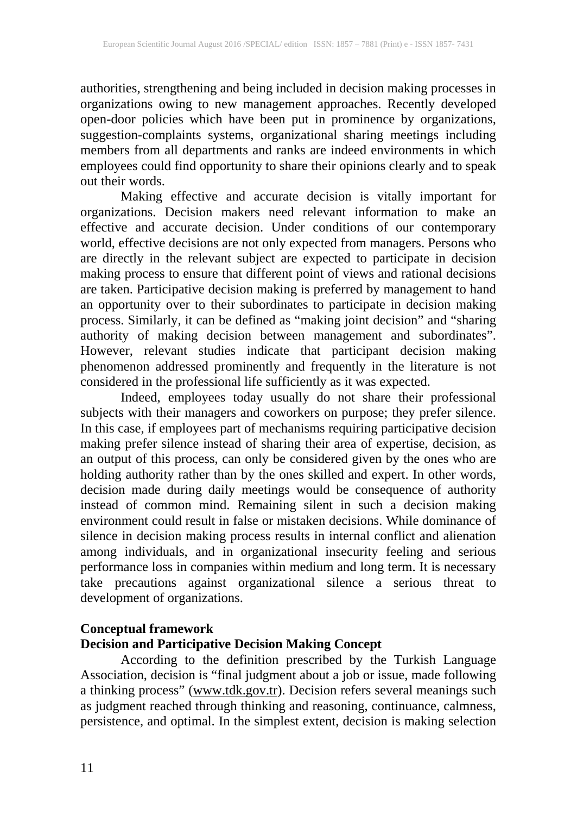authorities, strengthening and being included in decision making processes in organizations owing to new management approaches. Recently developed open-door policies which have been put in prominence by organizations, suggestion-complaints systems, organizational sharing meetings including members from all departments and ranks are indeed environments in which employees could find opportunity to share their opinions clearly and to speak out their words.

Making effective and accurate decision is vitally important for organizations. Decision makers need relevant information to make an effective and accurate decision. Under conditions of our contemporary world, effective decisions are not only expected from managers. Persons who are directly in the relevant subject are expected to participate in decision making process to ensure that different point of views and rational decisions are taken. Participative decision making is preferred by management to hand an opportunity over to their subordinates to participate in decision making process. Similarly, it can be defined as "making joint decision" and "sharing authority of making decision between management and subordinates". However, relevant studies indicate that participant decision making phenomenon addressed prominently and frequently in the literature is not considered in the professional life sufficiently as it was expected.

Indeed, employees today usually do not share their professional subjects with their managers and coworkers on purpose; they prefer silence. In this case, if employees part of mechanisms requiring participative decision making prefer silence instead of sharing their area of expertise, decision, as an output of this process, can only be considered given by the ones who are holding authority rather than by the ones skilled and expert. In other words, decision made during daily meetings would be consequence of authority instead of common mind. Remaining silent in such a decision making environment could result in false or mistaken decisions. While dominance of silence in decision making process results in internal conflict and alienation among individuals, and in organizational insecurity feeling and serious performance loss in companies within medium and long term. It is necessary take precautions against organizational silence a serious threat to development of organizations.

#### **Conceptual framework**

#### **Decision and Participative Decision Making Concept**

According to the definition prescribed by the Turkish Language Association, decision is "final judgment about a job or issue, made following a thinking process" [\(www.tdk.gov.tr\)](http://www.tdk.gov.tr/). Decision refers several meanings such as judgment reached through thinking and reasoning, continuance, calmness, persistence, and optimal. In the simplest extent, decision is making selection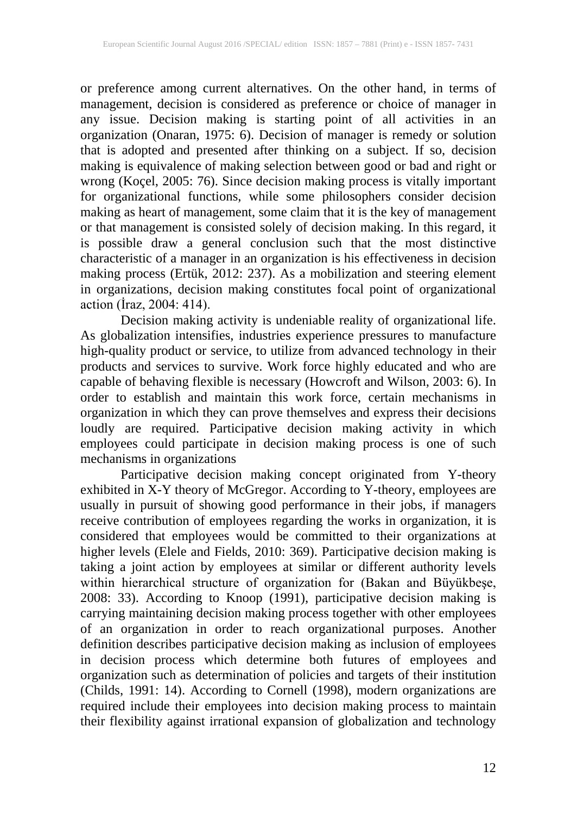or preference among current alternatives. On the other hand, in terms of management, decision is considered as preference or choice of manager in any issue. Decision making is starting point of all activities in an organization (Onaran, 1975: 6). Decision of manager is remedy or solution that is adopted and presented after thinking on a subject. If so, decision making is equivalence of making selection between good or bad and right or wrong (Koçel, 2005: 76). Since decision making process is vitally important for organizational functions, while some philosophers consider decision making as heart of management, some claim that it is the key of management or that management is consisted solely of decision making. In this regard, it is possible draw a general conclusion such that the most distinctive characteristic of a manager in an organization is his effectiveness in decision making process (Ertük, 2012: 237). As a mobilization and steering element in organizations, decision making constitutes focal point of organizational action (İraz, 2004: 414).

Decision making activity is undeniable reality of organizational life. As globalization intensifies, industries experience pressures to manufacture high-quality product or service, to utilize from advanced technology in their products and services to survive. Work force highly educated and who are capable of behaving flexible is necessary (Howcroft and Wilson, 2003: 6). In order to establish and maintain this work force, certain mechanisms in organization in which they can prove themselves and express their decisions loudly are required. Participative decision making activity in which employees could participate in decision making process is one of such mechanisms in organizations

Participative decision making concept originated from Y-theory exhibited in X-Y theory of McGregor. According to Y-theory, employees are usually in pursuit of showing good performance in their jobs, if managers receive contribution of employees regarding the works in organization, it is considered that employees would be committed to their organizations at higher levels (Elele and Fields, 2010: 369). Participative decision making is taking a joint action by employees at similar or different authority levels within hierarchical structure of organization for (Bakan and Büyükbeşe, 2008: 33). According to Knoop (1991), participative decision making is carrying maintaining decision making process together with other employees of an organization in order to reach organizational purposes. Another definition describes participative decision making as inclusion of employees in decision process which determine both futures of employees and organization such as determination of policies and targets of their institution (Childs, 1991: 14). According to Cornell (1998), modern organizations are required include their employees into decision making process to maintain their flexibility against irrational expansion of globalization and technology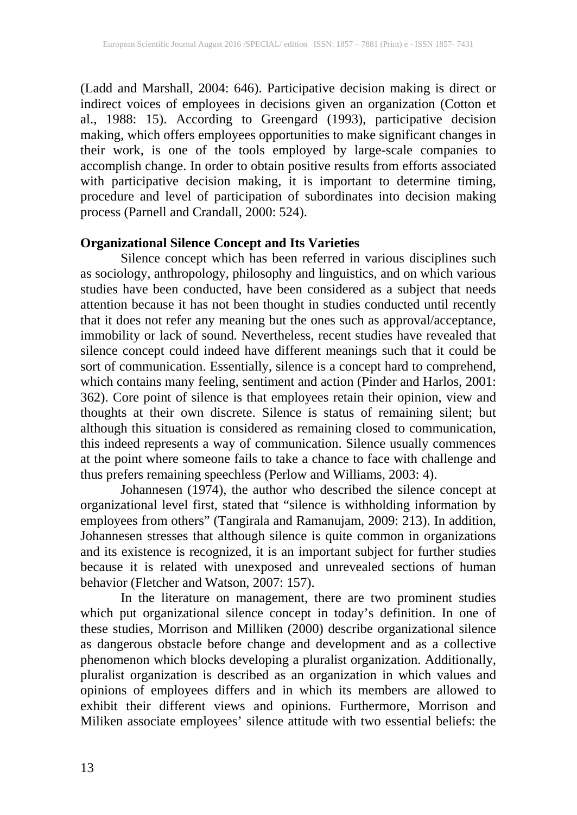(Ladd and Marshall, 2004: 646). Participative decision making is direct or indirect voices of employees in decisions given an organization (Cotton et al., 1988: 15). According to Greengard (1993), participative decision making, which offers employees opportunities to make significant changes in their work, is one of the tools employed by large-scale companies to accomplish change. In order to obtain positive results from efforts associated with participative decision making, it is important to determine timing, procedure and level of participation of subordinates into decision making process (Parnell and Crandall, 2000: 524).

## **Organizational Silence Concept and Its Varieties**

Silence concept which has been referred in various disciplines such as sociology, anthropology, philosophy and linguistics, and on which various studies have been conducted, have been considered as a subject that needs attention because it has not been thought in studies conducted until recently that it does not refer any meaning but the ones such as approval/acceptance, immobility or lack of sound. Nevertheless, recent studies have revealed that silence concept could indeed have different meanings such that it could be sort of communication. Essentially, silence is a concept hard to comprehend, which contains many feeling, sentiment and action (Pinder and Harlos, 2001: 362). Core point of silence is that employees retain their opinion, view and thoughts at their own discrete. Silence is status of remaining silent; but although this situation is considered as remaining closed to communication, this indeed represents a way of communication. Silence usually commences at the point where someone fails to take a chance to face with challenge and thus prefers remaining speechless (Perlow and Williams, 2003: 4).

Johannesen (1974), the author who described the silence concept at organizational level first, stated that "silence is withholding information by employees from others" (Tangirala and Ramanujam, 2009: 213). In addition, Johannesen stresses that although silence is quite common in organizations and its existence is recognized, it is an important subject for further studies because it is related with unexposed and unrevealed sections of human behavior (Fletcher and Watson, 2007: 157).

In the literature on management, there are two prominent studies which put organizational silence concept in today's definition. In one of these studies, Morrison and Milliken (2000) describe organizational silence as dangerous obstacle before change and development and as a collective phenomenon which blocks developing a pluralist organization. Additionally, pluralist organization is described as an organization in which values and opinions of employees differs and in which its members are allowed to exhibit their different views and opinions. Furthermore, Morrison and Miliken associate employees' silence attitude with two essential beliefs: the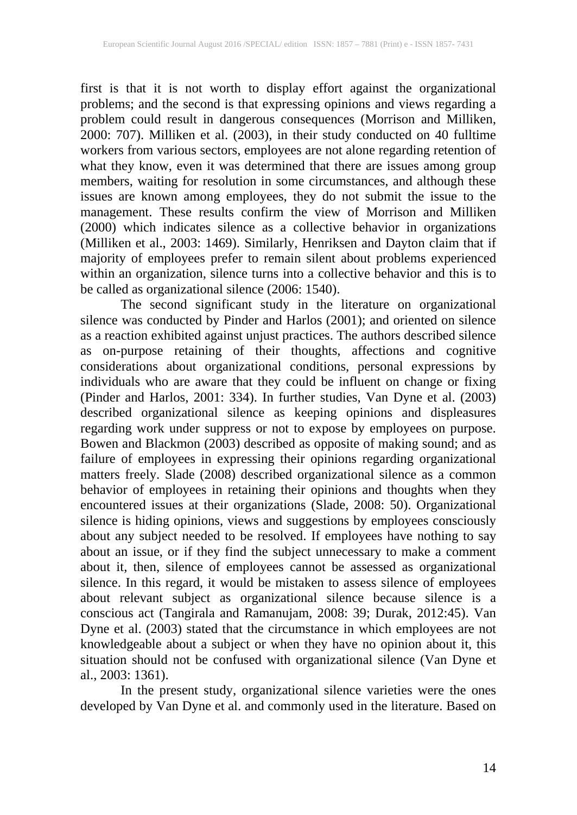first is that it is not worth to display effort against the organizational problems; and the second is that expressing opinions and views regarding a problem could result in dangerous consequences (Morrison and Milliken, 2000: 707). Milliken et al. (2003), in their study conducted on 40 fulltime workers from various sectors, employees are not alone regarding retention of what they know, even it was determined that there are issues among group members, waiting for resolution in some circumstances, and although these issues are known among employees, they do not submit the issue to the management. These results confirm the view of Morrison and Milliken (2000) which indicates silence as a collective behavior in organizations (Milliken et al., 2003: 1469). Similarly, Henriksen and Dayton claim that if majority of employees prefer to remain silent about problems experienced within an organization, silence turns into a collective behavior and this is to be called as organizational silence (2006: 1540). be called as organizational silence (2006: 1540).

The second significant study in the literature on organizational silence was conducted by Pinder and Harlos (2001); and oriented on silence as a reaction exhibited against unjust practices. The authors described silence as on-purpose retaining of their thoughts, affections and cognitive considerations about organizational conditions, personal expressions by individuals who are aware that they could be influent on change or fixing (Pinder and Harlos, 2001: 334). In further studies, Van Dyne et al. (2003) described organizational silence as keeping opinions and displeasures regarding work under suppress or not to expose by employees on purpose. Bowen and Blackmon (2003) described as opposite of making sound; and as failure of employees in expressing their opinions regarding organizational matters freely. Slade (2008) described organizational silence as a common behavior of employees in retaining their opinions and thoughts when they encountered issues at their organizations (Slade, 2008: 50). Organizational silence is hiding opinions, views and suggestions by employees consciously about any subject needed to be resolved. If employees have nothing to say about an issue, or if they find the subject unnecessary to make a comment about it, then, silence of employees cannot be assessed as organizational silence. In this regard, it would be mistaken to assess silence of employees silence. In this regard, it would be mistaken to assess silence of employees about relevant subject as organizational silence because silence is a conscious act (Tangirala and Ramanujam, 2008: 39; Durak, 2012:45). Van Dyne et al. (2003) stated that the circumstance in which employees are not knowledgeable about a subject or when they have no opinion about it, this situation should not be confused with organizational silence (Van Dyne et al., 2003: 1361).

In the present study, organizational silence varieties were the ones developed by Van Dyne et al. and commonly used in the literature. Based on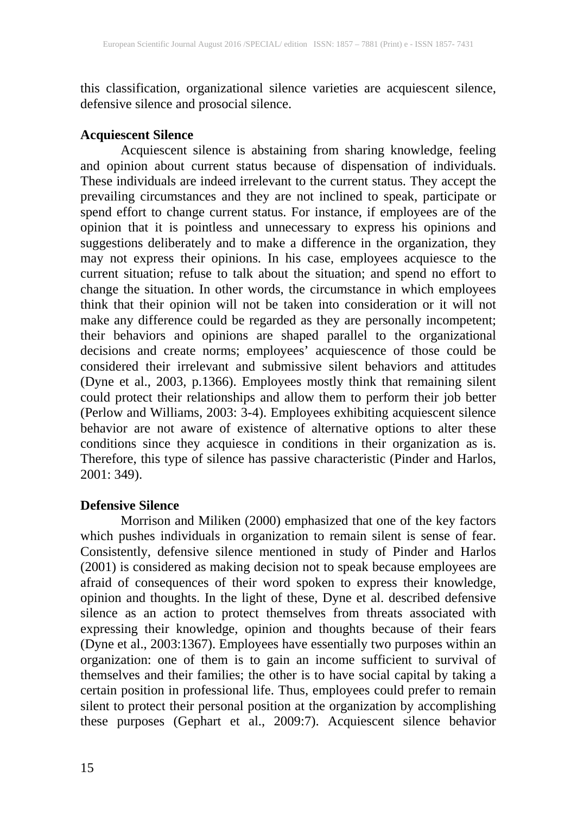this classification, organizational silence varieties are acquiescent silence, defensive silence and prosocial silence.

## **Acquiescent Silence**

Acquiescent silence is abstaining from sharing knowledge, feeling and opinion about current status because of dispensation of individuals. These individuals are indeed irrelevant to the current status. They accept the prevailing circumstances and they are not inclined to speak, participate or spend effort to change current status. For instance, if employees are of the opinion that it is pointless and unnecessary to express his opinions and suggestions deliberately and to make a difference in the organization, they may not express their opinions. In his case, employees acquiesce to the current situation; refuse to talk about the situation; and spend no effort to change the situation. In other words, the circumstance in which employees think that their opinion will not be taken into consideration or it will not make any difference could be regarded as they are personally incompetent; their behaviors and opinions are shaped parallel to the organizational decisions and create norms; employees' acquiescence of those could be considered their irrelevant and submissive silent behaviors and attitudes (Dyne et al., 2003, p.1366). Employees mostly think that remaining silent could protect their relationships and allow them to perform their job better (Perlow and Williams, 2003: 3-4). Employees exhibiting acquiescent silence behavior are not aware of existence of alternative options to alter these conditions since they acquiesce in conditions in their organization as is. Therefore, this type of silence has passive characteristic (Pinder and Harlos, 2001: 349).

## **Defensive Silence**

Morrison and Miliken (2000) emphasized that one of the key factors which pushes individuals in organization to remain silent is sense of fear. Consistently, defensive silence mentioned in study of Pinder and Harlos (2001) is considered as making decision not to speak because employees are afraid of consequences of their word spoken to express their knowledge, opinion and thoughts. In the light of these, Dyne et al. described defensive silence as an action to protect themselves from threats associated with expressing their knowledge, opinion and thoughts because of their fears (Dyne et al., 2003:1367). Employees have essentially two purposes within an organization: one of them is to gain an income sufficient to survival of themselves and their families; the other is to have social capital by taking a certain position in professional life. Thus, employees could prefer to remain silent to protect their personal position at the organization by accomplishing these purposes (Gephart et al., 2009:7). Acquiescent silence behavior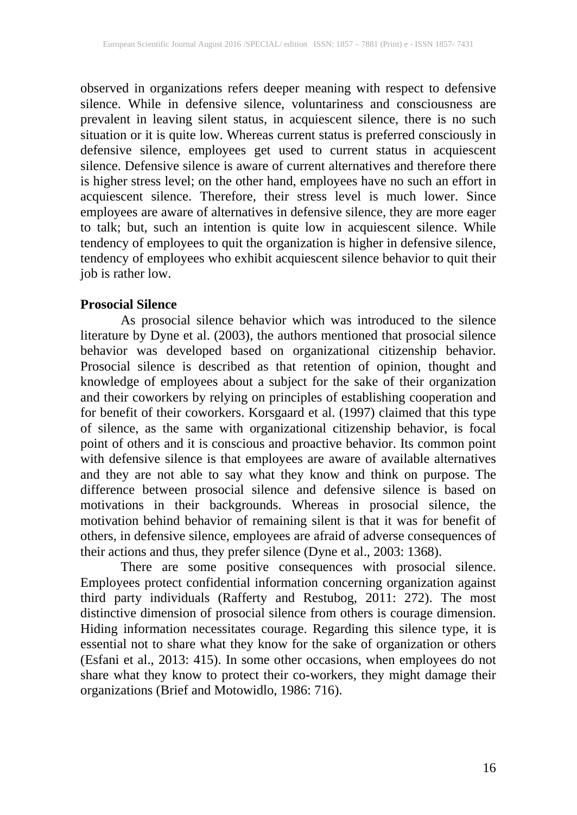observed in organizations refers deeper meaning with respect to defensive silence. While in defensive silence, voluntariness and consciousness are prevalent in leaving silent status, in acquiescent silence, there is no such situation or it is quite low. Whereas current status is preferred consciously in defensive silence, employees get used to current status in acquiescent silence. Defensive silence is aware of current alternatives and therefore there is higher stress level; on the other hand, employees have no such an effort in acquiescent silence. Therefore, their stress level is much lower. Since employees are aware of alternatives in defensive silence, they are more eager to talk; but, such an intention is quite low in acquiescent silence. While tendency of employees to quit the organization is higher in defensive silence, tendency of employees who exhibit acquiescent silence behavior to quit their job is rather low.

#### **Prosocial Silence**

As prosocial silence behavior which was introduced to the silence literature by Dyne et al. (2003), the authors mentioned that prosocial silence behavior was developed based on organizational citizenship behavior. Prosocial silence is described as that retention of opinion, thought and knowledge of employees about a subject for the sake of their organization and their coworkers by relying on principles of establishing cooperation and for benefit of their coworkers. Korsgaard et al. (1997) claimed that this type of silence, as the same with organizational citizenship behavior, is focal point of others and it is conscious and proactive behavior. Its common point with defensive silence is that employees are aware of available alternatives and they are not able to say what they know and think on purpose. The difference between prosocial silence and defensive silence is based on motivations in their backgrounds. Whereas in prosocial silence, the motivation behind behavior of remaining silent is that it was for benefit of others, in defensive silence, employees are afraid of adverse consequences of their actions and thus, they prefer silence (Dyne et al., 2003: 1368).

There are some positive consequences with prosocial silence. Employees protect confidential information concerning organization against third party individuals (Rafferty and Restubog, 2011: 272). The most distinctive dimension of prosocial silence from others is courage dimension. Hiding information necessitates courage. Regarding this silence type, it is essential not to share what they know for the sake of organization or others (Esfani et al., 2013: 415). In some other occasions, when employees do not share what they know to protect their co-workers, they might damage their organizations (Brief and Motowidlo, 1986: 716).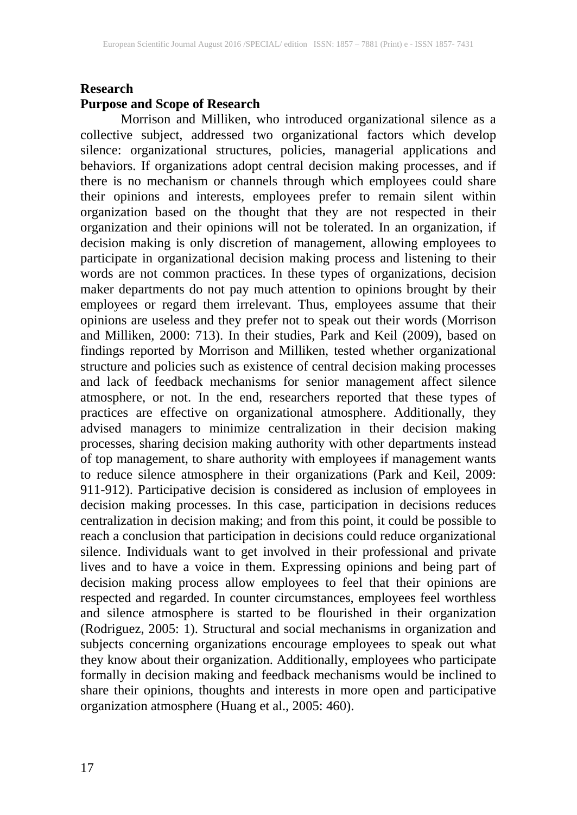#### **Research**

#### **Purpose and Scope of Research**

Morrison and Milliken, who introduced organizational silence as a collective subject, addressed two organizational factors which develop silence: organizational structures, policies, managerial applications and behaviors. If organizations adopt central decision making processes, and if there is no mechanism or channels through which employees could share their opinions and interests, employees prefer to remain silent within organization based on the thought that they are not respected in their organization and their opinions will not be tolerated. In an organization, if decision making is only discretion of management, allowing employees to participate in organizational decision making process and listening to their words are not common practices. In these types of organizations, decision maker departments do not pay much attention to opinions brought by their employees or regard them irrelevant. Thus, employees assume that their opinions are useless and they prefer not to speak out their words (Morrison and Milliken, 2000: 713). In their studies, Park and Keil (2009), based on findings reported by Morrison and Milliken, tested whether organizational structure and policies such as existence of central decision making processes and lack of feedback mechanisms for senior management affect silence atmosphere, or not. In the end, researchers reported that these types of practices are effective on organizational atmosphere. Additionally, they advised managers to minimize centralization in their decision making processes, sharing decision making authority with other departments instead of top management, to share authority with employees if management wants to reduce silence atmosphere in their organizations (Park and Keil, 2009: 911-912). Participative decision is considered as inclusion of employees in decision making processes. In this case, participation in decisions reduces centralization in decision making; and from this point, it could be possible to reach a conclusion that participation in decisions could reduce organizational silence. Individuals want to get involved in their professional and private lives and to have a voice in them. Expressing opinions and being part of decision making process allow employees to feel that their opinions are respected and regarded. In counter circumstances, employees feel worthless and silence atmosphere is started to be flourished in their organization (Rodriguez, 2005: 1). Structural and social mechanisms in organization and subjects concerning organizations encourage employees to speak out what they know about their organization. Additionally, employees who participate formally in decision making and feedback mechanisms would be inclined to share their opinions, thoughts and interests in more open and participative organization atmosphere (Huang et al., 2005: 460).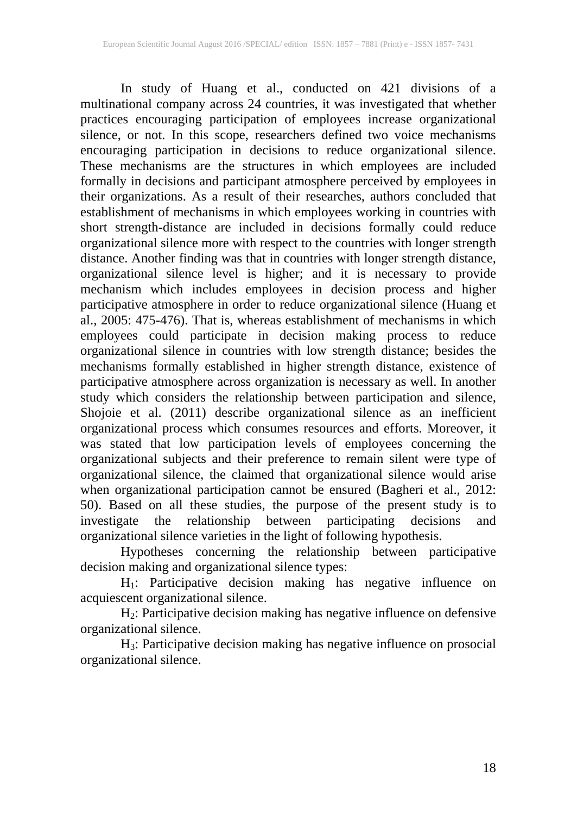In study of Huang et al., conducted on 421 divisions of a multinational company across 24 countries, it was investigated that whether practices encouraging participation of employees increase organizational silence, or not. In this scope, researchers defined two voice mechanisms encouraging participation in decisions to reduce organizational silence. These mechanisms are the structures in which employees are included formally in decisions and participant atmosphere perceived by employees in their organizations. As a result of their researches, authors concluded that establishment of mechanisms in which employees working in countries with short strength-distance are included in decisions formally could reduce organizational silence more with respect to the countries with longer strength distance. Another finding was that in countries with longer strength distance, organizational silence level is higher; and it is necessary to provide mechanism which includes employees in decision process and higher participative atmosphere in order to reduce organizational silence (Huang et al., 2005: 475-476). That is, whereas establishment of mechanisms in which employees could participate in decision making process to reduce organizational silence in countries with low strength distance; besides the mechanisms formally established in higher strength distance, existence of participative atmosphere across organization is necessary as well. In another study which considers the relationship between participation and silence, Shojoie et al. (2011) describe organizational silence as an inefficient organizational process which consumes resources and efforts. Moreover, it was stated that low participation levels of employees concerning the organizational subjects and their preference to remain silent were type of organizational silence, the claimed that organizational silence would arise when organizational participation cannot be ensured (Bagheri et al., 2012: 50). Based on all these studies, the purpose of the present study is to investigate the relationship between participating decisions and organizational silence varieties in the light of following hypothesis.

Hypotheses concerning the relationship between participative decision making and organizational silence types:

H1: Participative decision making has negative influence on acquiescent organizational silence.

H2: Participative decision making has negative influence on defensive organizational silence.

H3: Participative decision making has negative influence on prosocial organizational silence.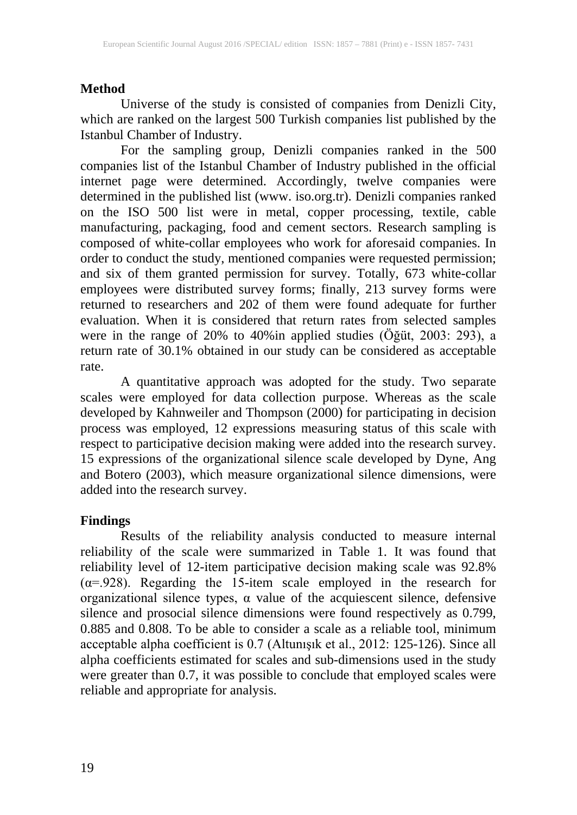## **Method**

Universe of the study is consisted of companies from Denizli City, which are ranked on the largest 500 Turkish companies list published by the Istanbul Chamber of Industry.

For the sampling group, Denizli companies ranked in the 500 companies list of the Istanbul Chamber of Industry published in the official internet page were determined. Accordingly, twelve companies were determined in the published list (www. iso.org.tr). Denizli companies ranked on the ISO 500 list were in metal, copper processing, textile, cable manufacturing, packaging, food and cement sectors. Research sampling is composed of white-collar employees who work for aforesaid companies. In order to conduct the study, mentioned companies were requested permission; and six of them granted permission for survey. Totally, 673 white-collar employees were distributed survey forms; finally, 213 survey forms were returned to researchers and 202 of them were found adequate for further evaluation. When it is considered that return rates from selected samples were in the range of 20% to 40%in applied studies (Öğüt, 2003: 293), a return rate of 30.1% obtained in our study can be considered as acceptable rate.

A quantitative approach was adopted for the study. Two separate scales were employed for data collection purpose. Whereas as the scale developed by Kahnweiler and Thompson (2000) for participating in decision process was employed, 12 expressions measuring status of this scale with respect to participative decision making were added into the research survey. 15 expressions of the organizational silence scale developed by Dyne, Ang and Botero (2003), which measure organizational silence dimensions, were added into the research survey.

#### **Findings**

Results of the reliability analysis conducted to measure internal reliability of the scale were summarized in Table 1. It was found that reliability level of 12-item participative decision making scale was 92.8%  $(\alpha = .928)$ . Regarding the 15-item scale employed in the research for organizational silence types, α value of the acquiescent silence, defensive silence and prosocial silence dimensions were found respectively as 0.799, 0.885 and 0.808. To be able to consider a scale as a reliable tool, minimum acceptable alpha coefficient is 0.7 (Altunışık et al., 2012: 125-126). Since all alpha coefficients estimated for scales and sub-dimensions used in the study were greater than 0.7, it was possible to conclude that employed scales were reliable and appropriate for analysis.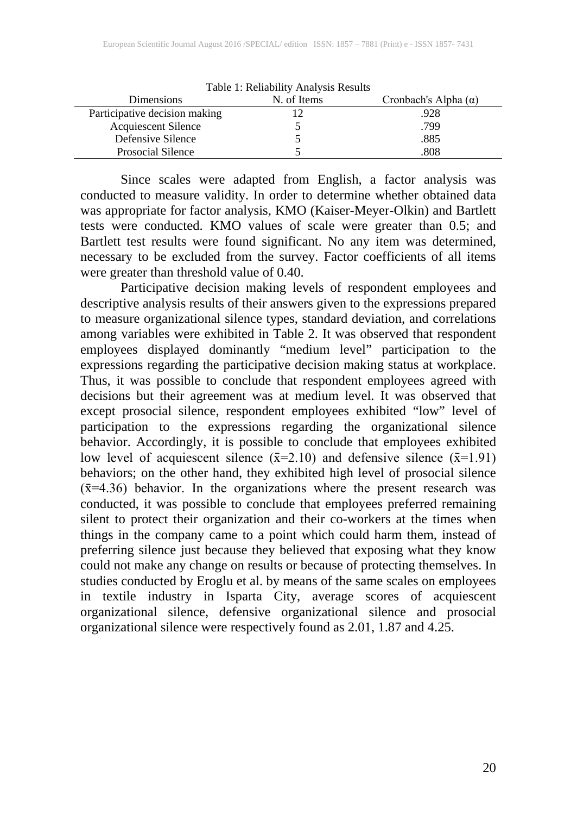| Dimensions                    | Table 1. Reliability Allalysis Results<br>N. of Items | Cronbach's Alpha $(\alpha)$ |
|-------------------------------|-------------------------------------------------------|-----------------------------|
| Participative decision making |                                                       | .928                        |
| <b>Acquiescent Silence</b>    |                                                       | .799                        |
| Defensive Silence             |                                                       | .885                        |
| Prosocial Silence             |                                                       | .808                        |

Table 1: Reliability Analysis Results

Since scales were adapted from English, a factor analysis was conducted to measure validity. In order to determine whether obtained data was appropriate for factor analysis, KMO (Kaiser-Meyer-Olkin) and Bartlett tests were conducted. KMO values of scale were greater than 0.5; and Bartlett test results were found significant. No any item was determined, necessary to be excluded from the survey. Factor coefficients of all items were greater than threshold value of 0.40.

Participative decision making levels of respondent employees and descriptive analysis results of their answers given to the expressions prepared to measure organizational silence types, standard deviation, and correlations among variables were exhibited in Table 2. It was observed that respondent employees displayed dominantly "medium level" participation to the expressions regarding the participative decision making status at workplace. Thus, it was possible to conclude that respondent employees agreed with decisions but their agreement was at medium level. It was observed that except prosocial silence, respondent employees exhibited "low" level of participation to the expressions regarding the organizational silence behavior. Accordingly, it is possible to conclude that employees exhibited low level of acquiescent silence  $(\bar{x}=2.10)$  and defensive silence  $(\bar{x}=1.91)$ behaviors; on the other hand, they exhibited high level of prosocial silence  $(\bar{x}=4.36)$  behavior. In the organizations where the present research was conducted, it was possible to conclude that employees preferred remaining silent to protect their organization and their co-workers at the times when things in the company came to a point which could harm them, instead of preferring silence just because they believed that exposing what they know could not make any change on results or because of protecting themselves. In studies conducted by Eroglu et al. by means of the same scales on employees in textile industry in Isparta City, average scores of acquiescent organizational silence, defensive organizational silence and prosocial organizational silence were respectively found as 2.01, 1.87 and 4.25.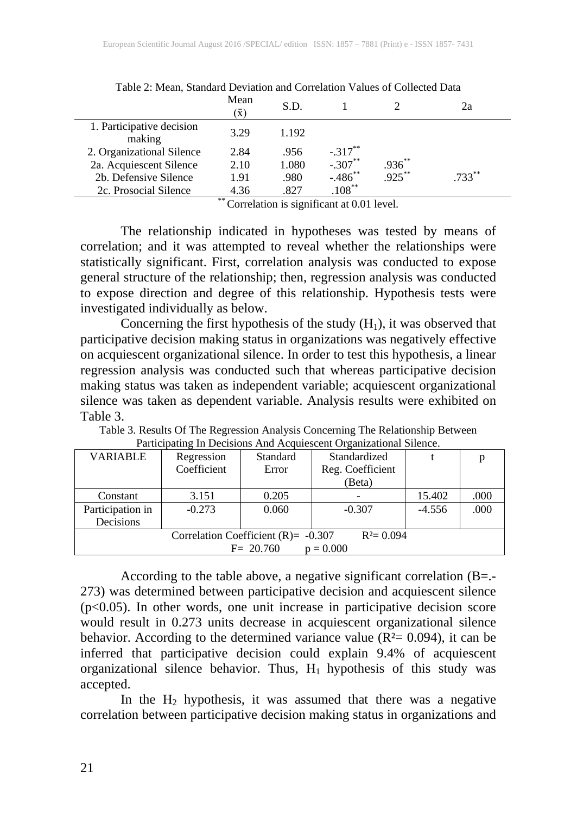|                                     | Mean<br>$\bar{x})$ | S.D.           |                                           |             | 2a        |
|-------------------------------------|--------------------|----------------|-------------------------------------------|-------------|-----------|
| 1. Participative decision<br>making | 3.29               | 1.192          |                                           |             |           |
| 2. Organizational Silence           | 2.84               | .956           | $-.317***$                                |             |           |
| 2a. Acquiescent Silence             | 2.10               | 1.080          | $-.307***$                                | $.936^{**}$ |           |
| 2b. Defensive Silence               | 1.91               | .980           | $-.486$ **                                | $.925***$   | $.733***$ |
| 2c. Prosocial Silence               | 4.36               | .827           | $.108***$                                 |             |           |
|                                     | $**$ $\sim$        | $\cdot$ $\sim$ | $\sim$ $\sim$ $\sim$ $\sim$ $\sim$ $\sim$ |             |           |

Table 2: Mean, Standard Deviation and Correlation Values of Collected Data

Correlation is significant at 0.01 level.

The relationship indicated in hypotheses was tested by means of correlation; and it was attempted to reveal whether the relationships were statistically significant. First, correlation analysis was conducted to expose general structure of the relationship; then, regression analysis was conducted to expose direction and degree of this relationship. Hypothesis tests were investigated individually as below.

Concerning the first hypothesis of the study  $(H_1)$ , it was observed that participative decision making status in organizations was negatively effective on acquiescent organizational silence. In order to test this hypothesis, a linear regression analysis was conducted such that whereas participative decision making status was taken as independent variable; acquiescent organizational silence was taken as dependent variable. Analysis results were exhibited on Table 3.

| <b>VARIABLE</b>                                         | Regression  | <b>Standard</b> | Standardized     |          |      |
|---------------------------------------------------------|-------------|-----------------|------------------|----------|------|
|                                                         | Coefficient | Error           | Reg. Coefficient |          |      |
|                                                         |             |                 | (Beta)           |          |      |
| Constant                                                | 3.151       | 0.205           |                  | 15.402   | .000 |
| Participation in                                        | $-0.273$    | 0.060           | $-0.307$         | $-4.556$ | .000 |
| Decisions                                               |             |                 |                  |          |      |
| Correlation Coefficient (R) = $-0.307$<br>$R^2 = 0.094$ |             |                 |                  |          |      |
| $F = 20.760$<br>$p = 0.000$                             |             |                 |                  |          |      |

Table 3. Results Of The Regression Analysis Concerning The Relationship Between Participating In Decisions And Acquiescent Organizational Silence.

According to the table above, a negative significant correlation (B=.- 273) was determined between participative decision and acquiescent silence (p<0.05). In other words, one unit increase in participative decision score would result in 0.273 units decrease in acquiescent organizational silence behavior. According to the determined variance value ( $\overline{R^2}$  = 0.094), it can be inferred that participative decision could explain 9.4% of acquiescent organizational silence behavior. Thus,  $H_1$  hypothesis of this study was accepted.

In the  $H_2$  hypothesis, it was assumed that there was a negative correlation between participative decision making status in organizations and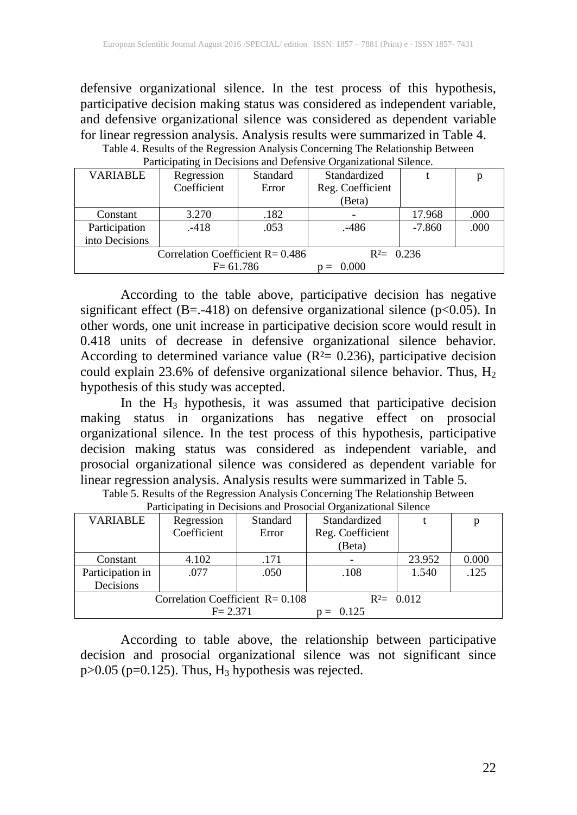defensive organizational silence. In the test process of this hypothesis, participative decision making status was considered as independent variable, and defensive organizational silence was considered as dependent variable for linear regression analysis. Analysis results were summarized in Table 4.

| $\sim$ we have position in the watch class which is weaked to a monitority of the state of |              |          |                  |          |      |  |
|--------------------------------------------------------------------------------------------|--------------|----------|------------------|----------|------|--|
| <b>VARIABLE</b>                                                                            | Regression   | Standard | Standardized     |          | p    |  |
|                                                                                            | Coefficient  | Error    | Reg. Coefficient |          |      |  |
|                                                                                            |              |          | (Beta)           |          |      |  |
| Constant                                                                                   | 3.270        | .182     |                  | 17.968   | .000 |  |
| Participation                                                                              | $-418$       | .053     | .-486            | $-7.860$ | .000 |  |
| into Decisions                                                                             |              |          |                  |          |      |  |
| Correlation Coefficient $R = 0.486$                                                        |              |          | $R^2 = 0.236$    |          |      |  |
|                                                                                            | $F = 61.786$ |          | 0.000            |          |      |  |

Table 4. Results of the Regression Analysis Concerning The Relationship Between Participating in Decisions and Defensive Organizational Silence.

According to the table above, participative decision has negative significant effect (B=.-418) on defensive organizational silence (p<0.05). In other words, one unit increase in participative decision score would result in 0.418 units of decrease in defensive organizational silence behavior. According to determined variance value ( $R<sup>2</sup>= 0.236$ ), participative decision could explain 23.6% of defensive organizational silence behavior. Thus,  $H_2$ hypothesis of this study was accepted.

In the  $H_3$  hypothesis, it was assumed that participative decision making status in organizations has negative effect on prosocial organizational silence. In the test process of this hypothesis, participative decision making status was considered as independent variable, and prosocial organizational silence was considered as dependent variable for linear regression analysis. Analysis results were summarized in Table 5.

| <b>VARIABLE</b>                     | Regression  | Standard | Standardized     |        |       |
|-------------------------------------|-------------|----------|------------------|--------|-------|
|                                     | Coefficient | Error    | Reg. Coefficient |        |       |
|                                     |             |          | (Beta)           |        |       |
| Constant                            | 4.102       | .171     |                  | 23.952 | 0.000 |
| Participation in                    | .077        | .050     | .108             | 1.540  | .125  |
| Decisions                           |             |          |                  |        |       |
| Correlation Coefficient $R = 0.108$ |             |          | $R^2 = 0.012$    |        |       |
| $F = 2.371$                         |             | 0.125    |                  |        |       |

Table 5. Results of the Regression Analysis Concerning The Relationship Between Participating in Decisions and Prosocial Organizational Silence

According to table above, the relationship between participative decision and prosocial organizational silence was not significant since  $p > 0.05$  ( $p = 0.125$ ). Thus,  $H_3$  hypothesis was rejected.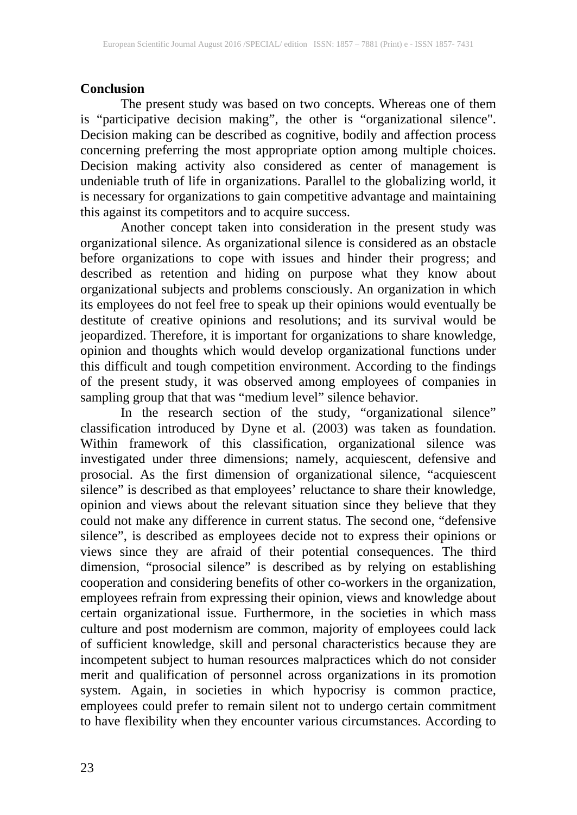## **Conclusion**

The present study was based on two concepts. Whereas one of them is "participative decision making", the other is "organizational silence". Decision making can be described as cognitive, bodily and affection process concerning preferring the most appropriate option among multiple choices. Decision making activity also considered as center of management is undeniable truth of life in organizations. Parallel to the globalizing world, it is necessary for organizations to gain competitive advantage and maintaining this against its competitors and to acquire success.

Another concept taken into consideration in the present study was organizational silence. As organizational silence is considered as an obstacle before organizations to cope with issues and hinder their progress; and described as retention and hiding on purpose what they know about organizational subjects and problems consciously. An organization in which its employees do not feel free to speak up their opinions would eventually be destitute of creative opinions and resolutions; and its survival would be jeopardized. Therefore, it is important for organizations to share knowledge, opinion and thoughts which would develop organizational functions under this difficult and tough competition environment. According to the findings of the present study, it was observed among employees of companies in sampling group that that was "medium level" silence behavior.

In the research section of the study, "organizational silence" classification introduced by Dyne et al. (2003) was taken as foundation. Within framework of this classification, organizational silence was investigated under three dimensions; namely, acquiescent, defensive and prosocial. As the first dimension of organizational silence, "acquiescent silence" is described as that employees' reluctance to share their knowledge, opinion and views about the relevant situation since they believe that they could not make any difference in current status. The second one, "defensive silence", is described as employees decide not to express their opinions or views since they are afraid of their potential consequences. The third dimension, "prosocial silence" is described as by relying on establishing cooperation and considering benefits of other co-workers in the organization, employees refrain from expressing their opinion, views and knowledge about certain organizational issue. Furthermore, in the societies in which mass culture and post modernism are common, majority of employees could lack of sufficient knowledge, skill and personal characteristics because they are incompetent subject to human resources malpractices which do not consider merit and qualification of personnel across organizations in its promotion system. Again, in societies in which hypocrisy is common practice, employees could prefer to remain silent not to undergo certain commitment to have flexibility when they encounter various circumstances. According to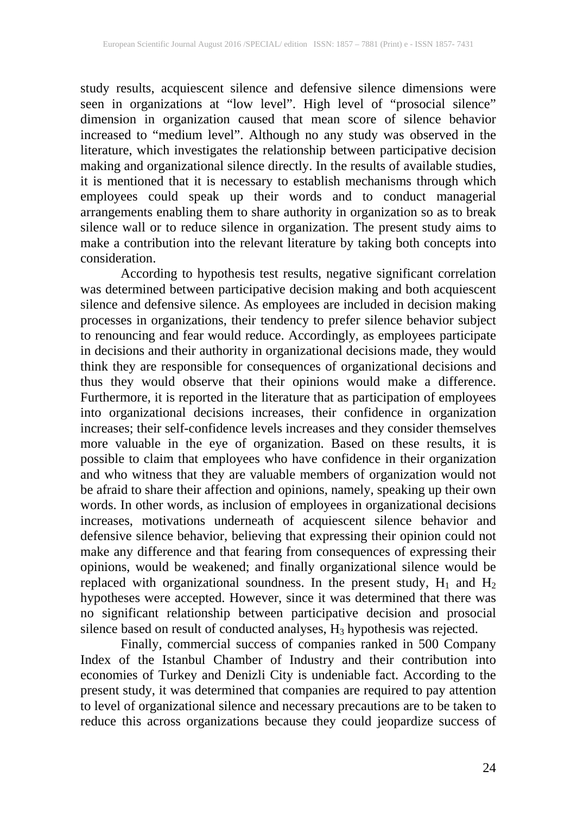study results, acquiescent silence and defensive silence dimensions were seen in organizations at "low level". High level of "prosocial silence" dimension in organization caused that mean score of silence behavior increased to "medium level". Although no any study was observed in the literature, which investigates the relationship between participative decision making and organizational silence directly. In the results of available studies, it is mentioned that it is necessary to establish mechanisms through which employees could speak up their words and to conduct managerial arrangements enabling them to share authority in organization so as to break silence wall or to reduce silence in organization. The present study aims to make a contribution into the relevant literature by taking both concepts into consideration.

According to hypothesis test results, negative significant correlation was determined between participative decision making and both acquiescent silence and defensive silence. As employees are included in decision making processes in organizations, their tendency to prefer silence behavior subject to renouncing and fear would reduce. Accordingly, as employees participate in decisions and their authority in organizational decisions made, they would think they are responsible for consequences of organizational decisions and thus they would observe that their opinions would make a difference. Furthermore, it is reported in the literature that as participation of employees into organizational decisions increases, their confidence in organization increases; their self-confidence levels increases and they consider themselves more valuable in the eye of organization. Based on these results, it is possible to claim that employees who have confidence in their organization and who witness that they are valuable members of organization would not be afraid to share their affection and opinions, namely, speaking up their own words. In other words, as inclusion of employees in organizational decisions increases, motivations underneath of acquiescent silence behavior and defensive silence behavior, believing that expressing their opinion could not make any difference and that fearing from consequences of expressing their opinions, would be weakened; and finally organizational silence would be replaced with organizational soundness. In the present study,  $H_1$  and  $H_2$ hypotheses were accepted. However, since it was determined that there was no significant relationship between participative decision and prosocial silence based on result of conducted analyses,  $H_3$  hypothesis was rejected.

Finally, commercial success of companies ranked in 500 Company Index of the Istanbul Chamber of Industry and their contribution into economies of Turkey and Denizli City is undeniable fact. According to the present study, it was determined that companies are required to pay attention to level of organizational silence and necessary precautions are to be taken to reduce this across organizations because they could jeopardize success of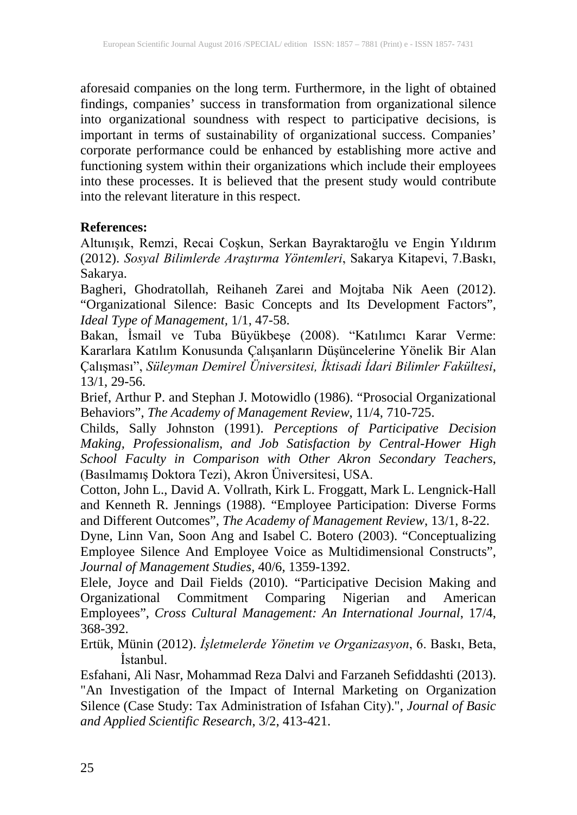aforesaid companies on the long term. Furthermore, in the light of obtained findings, companies' success in transformation from organizational silence into organizational soundness with respect to participative decisions, is important in terms of sustainability of organizational success. Companies' corporate performance could be enhanced by establishing more active and functioning system within their organizations which include their employees into these processes. It is believed that the present study would contribute into the relevant literature in this respect.

### **References:**

Altunışık, Remzi, Recai Coşkun, Serkan Bayraktaroğlu ve Engin Yıldırım (2012). *Sosyal Bilimlerde Araştırma Yöntemleri*, Sakarya Kitapevi, 7.Baskı, Sakarya.

Bagheri, Ghodratollah, Reihaneh Zarei and Mojtaba Nik Aeen (2012). "Organizational Silence: Basic Concepts and Its Development Factors", *Ideal Type of Management,* 1/1, 47-58.

Bakan, İsmail ve Tuba Büyükbeşe (2008). "Katılımcı Karar Verme: Kararlara Katılım Konusunda Çalışanların Düşüncelerine Yönelik Bir Alan Çalışması", *Süleyman Demirel Üniversitesi, İktisadi İdari Bilimler Fakültesi*, 13/1, 29-56.

Brief, Arthur P. and Stephan J. Motowidlo (1986). "Prosocial Organizational Behaviors", *The Academy of Management Review*, 11/4, 710-725.

Childs, Sally Johnston (1991). *Perceptions of Participative Decision Making, Professionalism, and Job Satisfaction by Central-Hower High School Faculty in Comparison with Other Akron Secondary Teachers*, (Basılmamış Doktora Tezi), Akron Üniversitesi, USA.

Cotton, John L., David A. Vollrath, Kirk L. Froggatt, Mark L. Lengnick-Hall and Kenneth R. Jennings (1988). "Employee Participation: Diverse Forms and Different Outcomes", *The Academy of Management Review*, 13/1, 8-22.

Dyne, Linn Van, Soon Ang and Isabel C. Botero (2003). "Conceptualizing Employee Silence And Employee Voice as Multidimensional Constructs", *Journal of Management Studies,* 40/6, 1359-1392.

Elele, Joyce and Dail Fields (2010). "Participative Decision Making and Organizational Commitment Comparing Nigerian and American Employees", *Cross Cultural Management: An International Journal*, 17/4, 368-392.

Ertük, Münin (2012). *İşletmelerde Yönetim ve Organizasyon*, 6. Baskı, Beta, İstanbul.

Esfahani, Ali Nasr, Mohammad Reza Dalvi and Farzaneh Sefiddashti (2013). "An Investigation of the Impact of Internal Marketing on Organization Silence (Case Study: Tax Administration of Isfahan City).", *Journal of Basic and Applied Scientific Research*, 3/2, 413-421.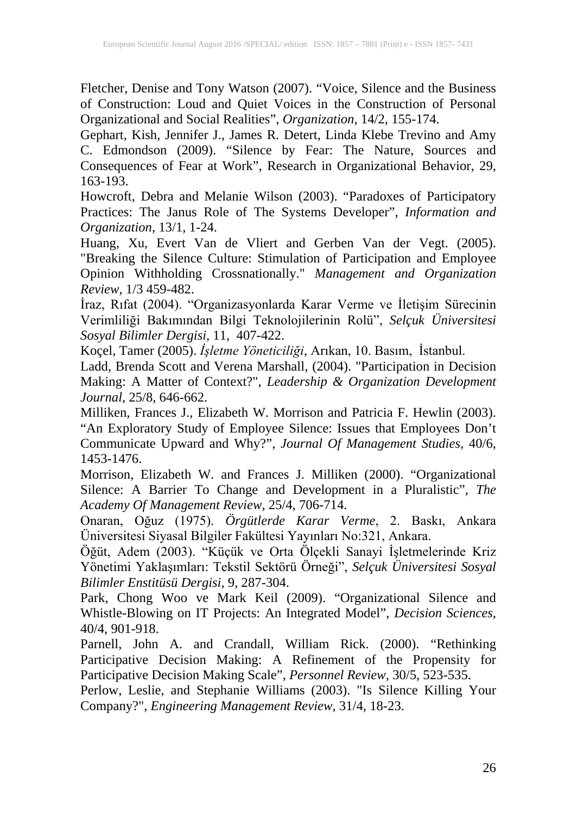Fletcher, Denise and Tony Watson (2007). "Voice, Silence and the Business of Construction: Loud and Quiet Voices in the Construction of Personal Organizational and Social Realities", *Organization*, 14/2, 155-174.

Gephart, Kish, Jennifer J., James R. Detert, Linda Klebe Trevino and Amy C. Edmondson (2009). "Silence by Fear: The Nature, Sources and Consequences of Fear at Work", Research in Organizational Behavior, 29, 163-193.

Howcroft, Debra and Melanie Wilson (2003). "Paradoxes of Participatory Practices: The Janus Role of The Systems Developer"*, Information and Organization*, 13/1, 1-24.

Huang, Xu, Evert Van de Vliert and Gerben Van der Vegt. (2005). "Breaking the Silence Culture: Stimulation of Participation and Employee Opinion Withholding Crossnationally." *Management and Organization Review,* 1/3 459-482.

İraz, Rıfat (2004). "Organizasyonlarda Karar Verme ve İletişim Sürecinin Verimliliği Bakımından Bilgi Teknolojilerinin Rolü", *Selçuk Üniversitesi Sosyal Bilimler Dergisi*, 11, 407-422.

Koçel, Tamer (2005). *İşletme Yöneticiliği*, Arıkan, 10. Basım, İstanbul.

Ladd, Brenda Scott and Verena Marshall, (2004). "Participation in Decision Making: A Matter of Context?", *Leadership & Organization Development Journal*, 25/8, 646-662.

Milliken, Frances J., Elizabeth W. Morrison and Patricia F. Hewlin (2003). "An Exploratory Study of Employee Silence: Issues that Employees Don't Communicate Upward and Why?", *Journal Of Management Studies*, 40/6, 1453-1476.

Morrison, Elizabeth W. and Frances J. Milliken (2000). "Organizational Silence: A Barrier To Change and Development in a Pluralistic", *The Academy Of Management Review,* 25/4, 706-714.

Onaran, Oğuz (1975). *Örgütlerde Karar Verme*, 2. Baskı, Ankara Üniversitesi Siyasal Bilgiler Fakültesi Yayınları No:321, Ankara.

Öğüt, Adem (2003). "Küçük ve Orta Ölçekli Sanayi İşletmelerinde Kriz Yönetimi Yaklaşımları: Tekstil Sektörü Örneği", *Selçuk Üniversitesi Sosyal Bilimler Enstitüsü Dergisi*, 9, 287-304.

Park, Chong Woo ve Mark Keil (2009). "Organizational Silence and Whistle-Blowing on IT Projects: An Integrated Model", *Decision Sciences,* 40/4, 901-918.

Parnell, John A. and Crandall, William Rick. (2000). "Rethinking Participative Decision Making: A Refinement of the Propensity for Participative Decision Making Scale", *Personnel Review,* 30/5, 523-535.

Perlow, Leslie, and Stephanie Williams (2003). "Is Silence Killing Your Company?", *Engineering Management Review,* 31/4, 18-23.